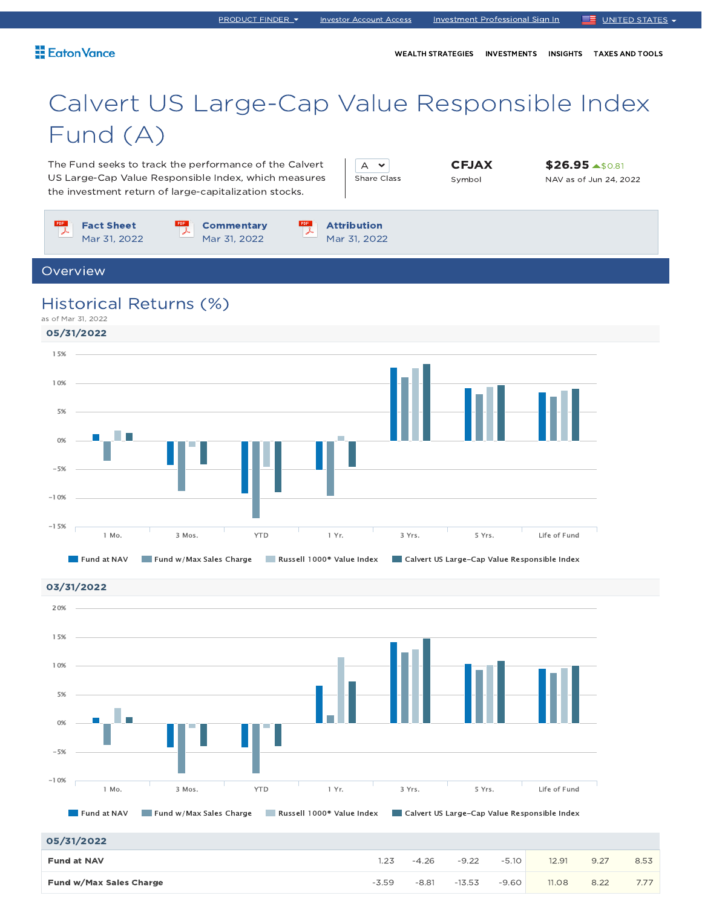WEALTH STRATEGIES INVESTMENTS INSIGHTS TAXES AND TOOLS

# Calvert US Large-Cap Value Responsible Index Fund (A)

The Fund seeks to track the performance of the Calvert US Large-Cap Value Responsible Index, which measures the investment return of large-capitalization stocks.

 $A \times$ Share Class CFJAX Symbol

\$26.95 \$0.81 NAV as of Jun 24, 2022



Fund at NAV Fund w/Max Sales Charge Russell 1000® Value Index Calvert US Large-Cap Value Responsible Index 1 Mo. 3 Mos. YTD 1 Yr. 3 Yrs. 5 Yrs. Life of Fund -10%  $-5%$ 0% 5% 10%

<sup>05/31/2022</sup>

| 05/31/2022              |         |         |          |         |       |      |      |
|-------------------------|---------|---------|----------|---------|-------|------|------|
| <b>Fund at NAV</b>      |         | $-4.26$ | $-9.22$  | $-5.10$ | 12.91 | 9.27 | 8.53 |
| Fund w/Max Sales Charge | $-3.59$ | $-8.81$ | $-13.53$ | $-9.60$ | 11.08 | 8.22 | 7.77 |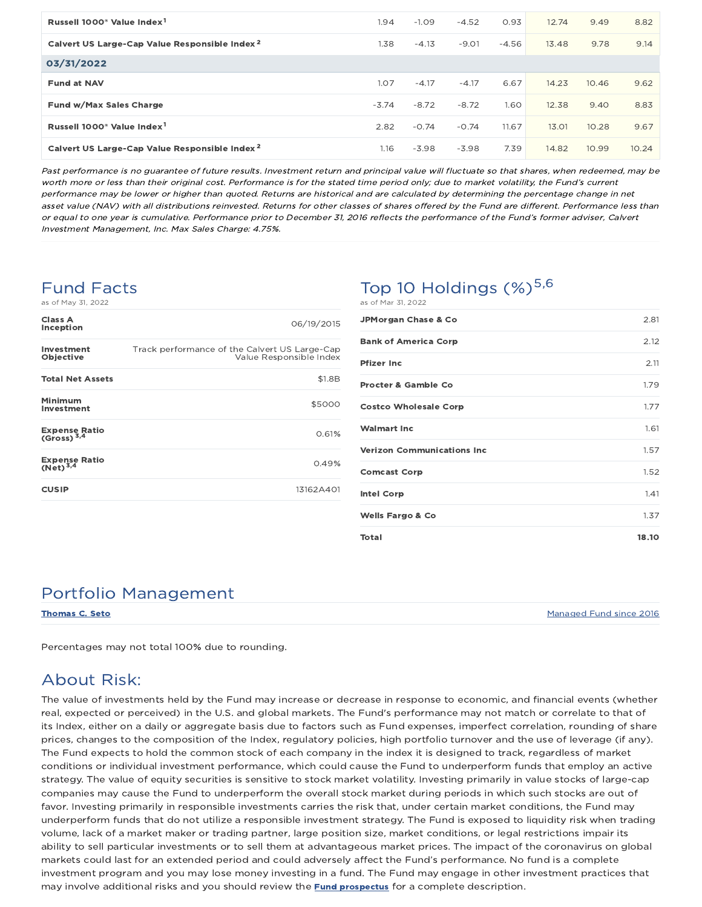| Russell 1000 <sup>®</sup> Value Index <sup>1</sup>        | 1.94    | $-1.09$ | $-4.52$ | 0.93    | 12.74 | 9.49  | 8.82  |
|-----------------------------------------------------------|---------|---------|---------|---------|-------|-------|-------|
| Calvert US Large-Cap Value Responsible Index <sup>2</sup> | 1.38    | $-4.13$ | $-9.01$ | $-4.56$ | 13.48 | 9.78  | 9.14  |
| 03/31/2022                                                |         |         |         |         |       |       |       |
| <b>Fund at NAV</b>                                        | 1.07    | $-4.17$ | $-4.17$ | 6.67    | 14.23 | 10.46 | 9.62  |
| Fund w/Max Sales Charge                                   | $-3.74$ | $-8.72$ | $-8.72$ | 1.60    | 12.38 | 9.40  | 8.83  |
| Russell 1000 <sup>®</sup> Value Index <sup>1</sup>        | 2.82    | $-0.74$ | $-0.74$ | 11.67   | 13.01 | 10.28 | 9.67  |
| Calvert US Large-Cap Value Responsible Index <sup>2</sup> | 1.16    | $-3.98$ | $-3.98$ | 7.39    | 14.82 | 10.99 | 10.24 |

Past performance is no guarantee of future results. Investment return and principal value will fluctuate so that shares, when redeemed, may be worth more or less than their original cost. Performance is for the stated time period only; due to market volatility, the Fund's current performance may be lower or higher than quoted. Returns are historical and are calculated by determining the percentage change in net asset value (NAV) with all distributions reinvested. Returns for other classes of shares offered by the Fund are different. Performance less than or equal to one year is cumulative. Performance prior to December 31, 2016 reflects the performance of the Fund's former adviser, Calvert Investment Management, Inc. Max Sales Charge: 4.75%.

## Fund Facts

as of May 31, 2022

| Class A<br>Inception                         | 06/19/2015                                                               |
|----------------------------------------------|--------------------------------------------------------------------------|
| Investment<br><b>Objective</b>               | Track performance of the Calvert US Large-Cap<br>Value Responsible Index |
| <b>Total Net Assets</b>                      | \$1.8B                                                                   |
| Minimum<br>Investment                        | \$5000                                                                   |
| Expense Ratio<br>(Gross) <sup>3,4</sup>      | 0.61%                                                                    |
| <b>Expense Ratio</b><br>(Net) <sup>3,4</sup> | 0.49%                                                                    |
| <b>CUSIP</b>                                 | 13162A401                                                                |

#### Top 10 Holdings  $(\%)^{5,6}$ as of Mar 31, 2022

| <b>JPMorgan Chase &amp; Co</b>    | 2.81  |
|-----------------------------------|-------|
| <b>Bank of America Corp</b>       | 2.12  |
| Pfizer Inc                        | 2.11  |
| <b>Procter &amp; Gamble Co</b>    | 1.79  |
| <b>Costco Wholesale Corp</b>      | 1.77  |
| <b>Walmart Inc</b>                | 1.61  |
| <b>Verizon Communications Inc</b> | 1.57  |
| <b>Comcast Corp</b>               | 1.52  |
| <b>Intel Corp</b>                 | 1.41  |
| <b>Wells Fargo &amp; Co</b>       | 1.37  |
| Total                             | 18.10 |

### Portfolio Management

Thomas C. Seto Managed Fund since 2016

Percentages may not total 100% due to rounding.

### About Risk:

The value of investments held by the Fund may increase or decrease in response to economic, and financial events (whether real, expected or perceived) in the U.S. and global markets. The Fund's performance may not match or correlate to that of its Index, either on a daily or aggregate basis due to factors such as Fund expenses, imperfect correlation, rounding of share prices, changes to the composition of the Index, regulatory policies, high portfolio turnover and the use of leverage (if any). The Fund expects to hold the common stock of each company in the index it is designed to track, regardless of market conditions or individual investment performance, which could cause the Fund to underperform funds that employ an active strategy. The value of equity securities is sensitive to stock market volatility. Investing primarily in value stocks of large-cap companies may cause the Fund to underperform the overall stock market during periods in which such stocks are out of favor. Investing primarily in responsible investments carries the risk that, under certain market conditions, the Fund may underperform funds that do not utilize a responsible investment strategy. The Fund is exposed to liquidity risk when trading volume, lack of a market maker or trading partner, large position size, market conditions, or legal restrictions impair its ability to sell particular investments or to sell them at advantageous market prices. The impact of the coronavirus on global markets could last for an extended period and could adversely affect the Fund's performance. No fund is a complete investment program and you may lose money investing in a fund. The Fund may engage in other investment practices that may involve additional risks and you should review the **Fund prospectus** for a complete description.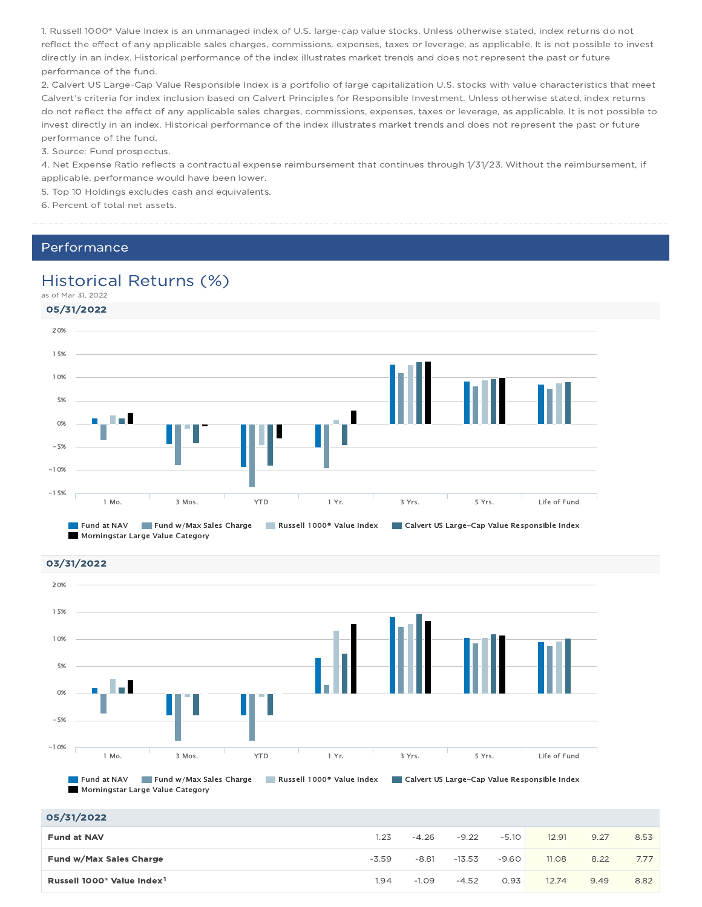1. Russell 1000® Value Index is an unmanaged index of U.S. large-cap value stocks. Unless otherwise stated, index returns do not reflect the effect of any applicable sales charges, commissions, expenses, taxes or leverage, as applicable. It is not possible to invest directly in an index. Historical performance of the index illustrates market trends and does not represent the past or future performance of the fund.

2. Calvert US Large-Cap Value Responsible Index is a portfolio of large capitalization U.S. stocks with value characteristics that meet Calvert's criteria for index inclusion based on Calvert Principles for Responsible Investment. Unless otherwise stated, index returns do not reflect the effect of any applicable sales charges, commissions, expenses, taxes or leverage, as applicable. It is not possible to invest directly in an index. Historical performance of the index illustrates market trends and does not represent the past or future performance of the fund.

3. Source: Fund prospectus.

4. Net Expense Ratio reflects a contractual expense reimbursement that continues through 1/31/23. Without the reimbursement, if applicable, performance would have been lower.

5. Top 10 Holdings excludes cash and equivalents.

6. Percent of total net assets.

#### Performance

### Historical Returns (%)

as of Mar 31, 2022



03/31/2022 05/31/2022 Fund at NAV Fund w/Max Sales Charge Russell 1000<sup>®</sup> Value Index Calvert US Large-Cap Value Responsible Index Morningstar Large Value Category 1 Mo. 3 Mos. YTD 1 Yr. 3 Yrs. 5 Yrs. Life of Fund -10% -5% 0% 5% 10% 15% 20%

| <b>Fund at NAV</b>                                 | 1.23    | $-4.26$ | $-9.22$  | $-5.10$ | 12.91 | 9.27 | 8.53 |
|----------------------------------------------------|---------|---------|----------|---------|-------|------|------|
| Fund w/Max Sales Charge                            | $-3.59$ | $-8.81$ | $-13.53$ | $-9.60$ | 11.08 | 8.22 | 7.77 |
| Russell 1000 <sup>®</sup> Value Index <sup>1</sup> | .94     | $-1.09$ | $-4.52$  | 0.93    | 12.74 | 9.49 | 8.82 |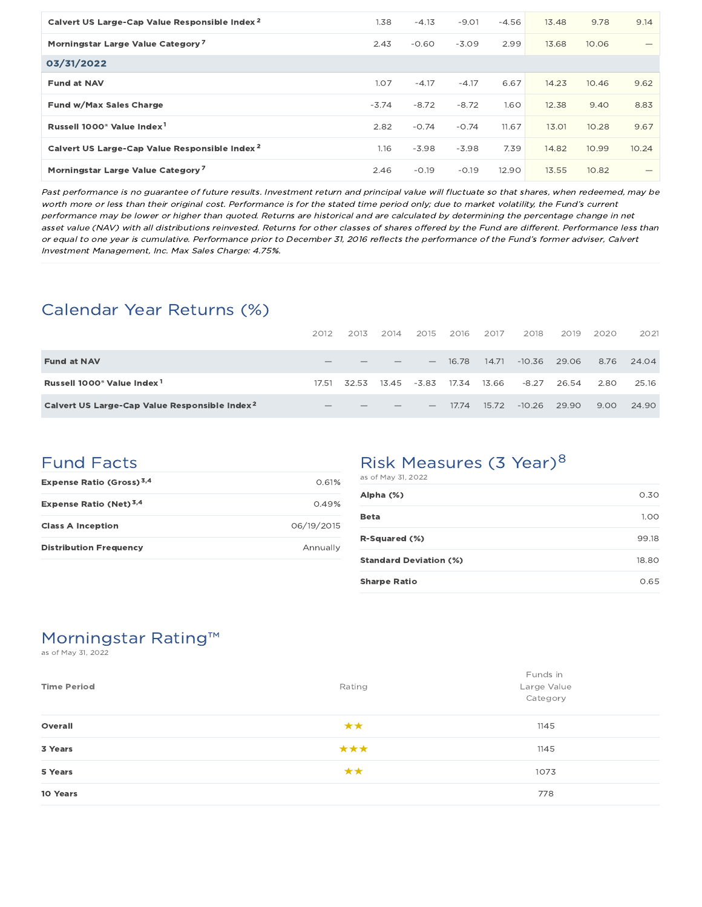| Calvert US Large-Cap Value Responsible Index <sup>2</sup> | 1.38    | $-4.13$ | $-9.01$ | $-4.56$ | 13.48 | 9.78  | 9.14  |
|-----------------------------------------------------------|---------|---------|---------|---------|-------|-------|-------|
| Morningstar Large Value Category <sup>7</sup>             | 2.43    | $-0.60$ | $-3.09$ | 2.99    | 13.68 | 10.06 |       |
| 03/31/2022                                                |         |         |         |         |       |       |       |
| <b>Fund at NAV</b>                                        | 1.07    | $-4.17$ | $-4.17$ | 6.67    | 14.23 | 10.46 | 9.62  |
| Fund w/Max Sales Charge                                   | $-3.74$ | $-8.72$ | $-8.72$ | 1.60    | 12.38 | 9.40  | 8.83  |
| Russell 1000 <sup>®</sup> Value Index <sup>1</sup>        | 2.82    | $-0.74$ | $-0.74$ | 11.67   | 13.01 | 10.28 | 9.67  |
| Calvert US Large-Cap Value Responsible Index <sup>2</sup> | 1.16    | $-3.98$ | $-3.98$ | 7.39    | 14.82 | 10.99 | 10.24 |
| Morningstar Large Value Category <sup>7</sup>             | 2.46    | $-0.19$ | $-0.19$ | 12.90   | 13.55 | 10.82 | —     |

Past performance is no guarantee of future results. Investment return and principal value will fluctuate so that shares, when redeemed, may be worth more or less than their original cost. Performance is for the stated time period only; due to market volatility, the Fund's current performance may be lower or higher than quoted. Returns are historical and are calculated by determining the percentage change in net asset value (NAV) with all distributions reinvested. Returns for other classes of shares offered by the Fund are different. Performance less than or equal to one year is cumulative. Performance prior to December 31, 2016 reflects the performance of the Fund's former adviser, Calvert Investment Management, Inc. Max Sales Charge: 4.75%.

### Calendar Year Returns (%)

|                                                           | 2012            | 2013  | 2014  | 2015                     | 2016    | 2017  | 2018     | 2019  | 2020 | 2021  |
|-----------------------------------------------------------|-----------------|-------|-------|--------------------------|---------|-------|----------|-------|------|-------|
| <b>Fund at NAV</b>                                        |                 |       |       |                          | - 16.78 | 14.71 | $-10.36$ | 29.06 | 8.76 | 24.04 |
| Russell 1000 <sup>®</sup> Value Index <sup>1</sup>        | 17.51           | 32.53 | 13.45 | -3.83                    | 17.34   | 13.66 | $-8.27$  | 26.54 | 2.80 | 25.16 |
| Calvert US Large-Cap Value Responsible Index <sup>2</sup> | $\qquad \qquad$ |       |       | $\overline{\phantom{a}}$ | 17.74   | 15.72 | $-10.26$ | 29.90 | 9.00 | 24.90 |

### Fund Facts

| Expense Ratio (Gross) <sup>3,4</sup> | 0.61%      |
|--------------------------------------|------------|
| Expense Ratio (Net) <sup>3,4</sup>   | 0.49%      |
| <b>Class A Inception</b>             | 06/19/2015 |
| <b>Distribution Frequency</b>        | Annually   |

### Risk Measures (3 Year)<sup>8</sup>

| as of May 31, 2022            |       |
|-------------------------------|-------|
| Alpha (%)                     | 0.30  |
| <b>Beta</b>                   | 1.00  |
| R-Squared (%)                 | 99.18 |
| <b>Standard Deviation (%)</b> | 18.80 |
| <b>Sharpe Ratio</b>           | 0.65  |

### Morningstar Rating™

as of May 31, 2022

| <b>Time Period</b> | Rating | Funds in<br>Large Value<br>Category |
|--------------------|--------|-------------------------------------|
| Overall            | **     | 1145                                |
| 3 Years            | ***    | 1145                                |
| 5 Years            | **     | 1073                                |
| 10 Years           |        | 778                                 |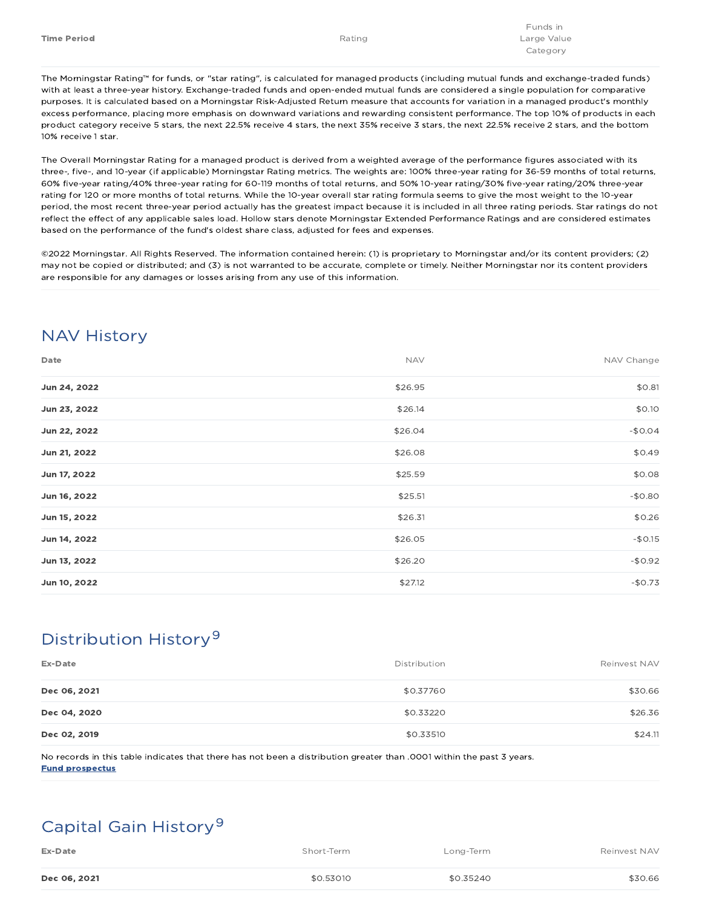The Morningstar Rating™ for funds, or "star rating", is calculated for managed products (including mutual funds and exchange-traded funds) with at least a three-year history. Exchange-traded funds and open-ended mutual funds are considered a single population for comparative purposes. It is calculated based on a Morningstar Risk-Adjusted Return measure that accounts for variation in a managed product's monthly excess performance, placing more emphasis on downward variations and rewarding consistent performance. The top 10% of products in each product category receive 5 stars, the next 22.5% receive 4 stars, the next 35% receive 3 stars, the next 22.5% receive 2 stars, and the bottom 10% receive 1 star.

The Overall Morningstar Rating for a managed product is derived from a weighted average of the performance figures associated with its three-, five-, and 10-year (if applicable) Morningstar Rating metrics. The weights are: 100% three-year rating for 36-59 months of total returns, 60% five-year rating/40% three-year rating for 60-119 months of total returns, and 50% 10-year rating/30% five-year rating/20% three-year rating for 120 or more months of total returns. While the 10-year overall star rating formula seems to give the most weight to the 10-year period, the most recent three-year period actually has the greatest impact because it is included in all three rating periods. Star ratings do not reflect the effect of any applicable sales load. Hollow stars denote Morningstar Extended Performance Ratings and are considered estimates based on the performance of the fund's oldest share class, adjusted for fees and expenses.

©2022 Morningstar. All Rights Reserved. The information contained herein: (1) is proprietary to Morningstar and/or its content providers; (2) may not be copied or distributed; and (3) is not warranted to be accurate, complete or timely. Neither Morningstar nor its content providers are responsible for any damages or losses arising from any use of this information.

## NAV History

| Date         | <b>NAV</b> | NAV Change |
|--------------|------------|------------|
| Jun 24, 2022 | \$26.95    | \$0.81     |
| Jun 23, 2022 | \$26.14    | \$0.10     |
| Jun 22, 2022 | \$26.04    | $-$0.04$   |
| Jun 21, 2022 | \$26.08    | \$0.49     |
| Jun 17, 2022 | \$25.59    | \$0.08     |
| Jun 16, 2022 | \$25.51    | $-$0.80$   |
| Jun 15, 2022 | \$26.31    | \$0.26     |
| Jun 14, 2022 | \$26.05    | $-$0.15$   |
| Jun 13, 2022 | \$26.20    | $-$0.92$   |
| Jun 10, 2022 | \$27.12    | $-$0.73$   |

## Distribution History 9

| Ex-Date      | Distribution | Reinvest NAV |
|--------------|--------------|--------------|
| Dec 06, 2021 | \$0.37760    | \$30.66      |
| Dec 04, 2020 | \$0.33220    | \$26.36      |
| Dec 02, 2019 | \$0.33510    | \$24.11      |

No records in this table indicates that there has not been a distribution greater than .0001 within the past 3 years. Fund prospectus

## Capital Gain History 9

| Ex-Date      | Short-Term | Long-Term | Reinvest NAV |
|--------------|------------|-----------|--------------|
| Dec 06, 2021 | \$0.53010  | \$0.35240 | \$30.66      |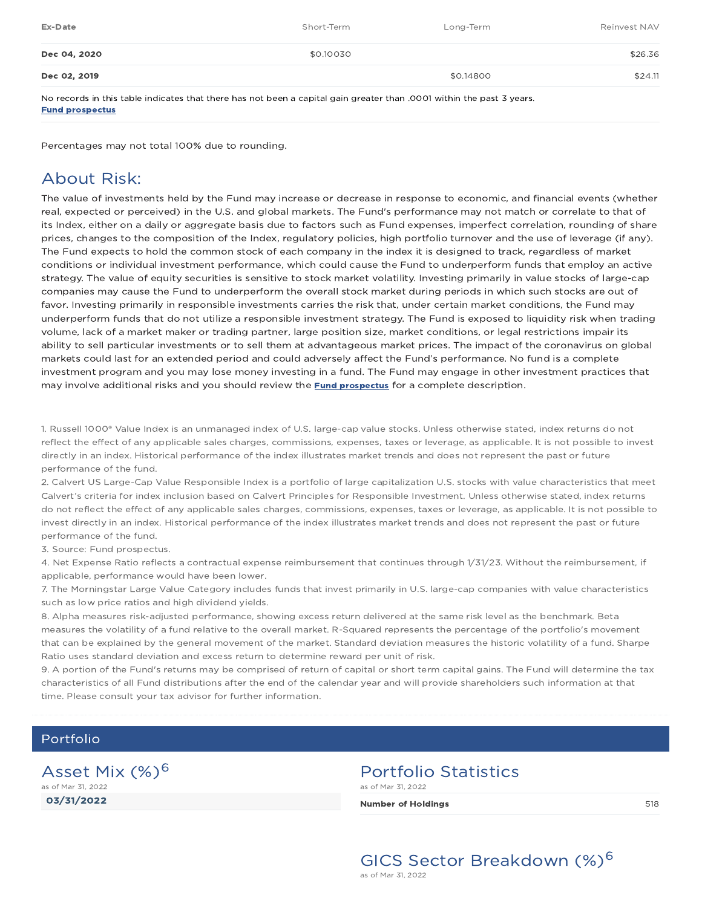| Ex-Date      | Short-Term | Long-Term | Reinvest NAV |
|--------------|------------|-----------|--------------|
| Dec 04, 2020 | \$0.10030  |           | \$26.36      |
| Dec 02, 2019 |            | \$0.14800 | \$24.11      |

No records in this table indicates that there has not been a capital gain greater than .0001 within the past 3 years. Fund prospectus

Percentages may not total 100% due to rounding.

### About Risk:

The value of investments held by the Fund may increase or decrease in response to economic, and financial events (whether real, expected or perceived) in the U.S. and global markets. The Fund's performance may not match or correlate to that of its Index, either on a daily or aggregate basis due to factors such as Fund expenses, imperfect correlation, rounding of share prices, changes to the composition of the Index, regulatory policies, high portfolio turnover and the use of leverage (if any). The Fund expects to hold the common stock of each company in the index it is designed to track, regardless of market conditions or individual investment performance, which could cause the Fund to underperform funds that employ an active strategy. The value of equity securities is sensitive to stock market volatility. Investing primarily in value stocks of large-cap companies may cause the Fund to underperform the overall stock market during periods in which such stocks are out of favor. Investing primarily in responsible investments carries the risk that, under certain market conditions, the Fund may underperform funds that do not utilize a responsible investment strategy. The Fund is exposed to liquidity risk when trading volume, lack of a market maker or trading partner, large position size, market conditions, or legal restrictions impair its ability to sell particular investments or to sell them at advantageous market prices. The impact of the coronavirus on global markets could last for an extended period and could adversely affect the Fund's performance. No fund is a complete investment program and you may lose money investing in a fund. The Fund may engage in other investment practices that may involve additional risks and you should review the **Fund prospectus** for a complete description.

1. Russell 1000® Value Index is an unmanaged index of U.S. large-cap value stocks. Unless otherwise stated, index returns do not reflect the effect of any applicable sales charges, commissions, expenses, taxes or leverage, as applicable. It is not possible to invest directly in an index. Historical performance of the index illustrates market trends and does not represent the past or future performance of the fund.

2. Calvert US Large-Cap Value Responsible Index is a portfolio of large capitalization U.S. stocks with value characteristics that meet Calvert's criteria for index inclusion based on Calvert Principles for Responsible Investment. Unless otherwise stated, index returns do not reflect the effect of any applicable sales charges, commissions, expenses, taxes or leverage, as applicable. It is not possible to invest directly in an index. Historical performance of the index illustrates market trends and does not represent the past or future performance of the fund.

3. Source: Fund prospectus.

4. Net Expense Ratio reflects a contractual expense reimbursement that continues through 1/31/23. Without the reimbursement, if applicable, performance would have been lower.

7. The Morningstar Large Value Category includes funds that invest primarily in U.S. large-cap companies with value characteristics such as low price ratios and high dividend yields.

8. Alpha measures risk-adjusted performance, showing excess return delivered at the same risk level as the benchmark. Beta measures the volatility of a fund relative to the overall market. R-Squared represents the percentage of the portfolio's movement that can be explained by the general movement of the market. Standard deviation measures the historic volatility of a fund. Sharpe Ratio uses standard deviation and excess return to determine reward per unit of risk.

9. A portion of the Fund's returns may be comprised of return of capital or short term capital gains. The Fund will determine the tax characteristics of all Fund distributions after the end of the calendar year and will provide shareholders such information at that time. Please consult your tax advisor for further information.

#### Portfolio

03/31/2022 Asset Mix (%)<sup>6</sup> as of Mar 31, 2022

### Portfolio Statistics

as of Mar 31, 2022

Number of Holdings **1988** S18

GICS Sector Breakdown (%)<sup>6</sup> as of Mar 31, 2022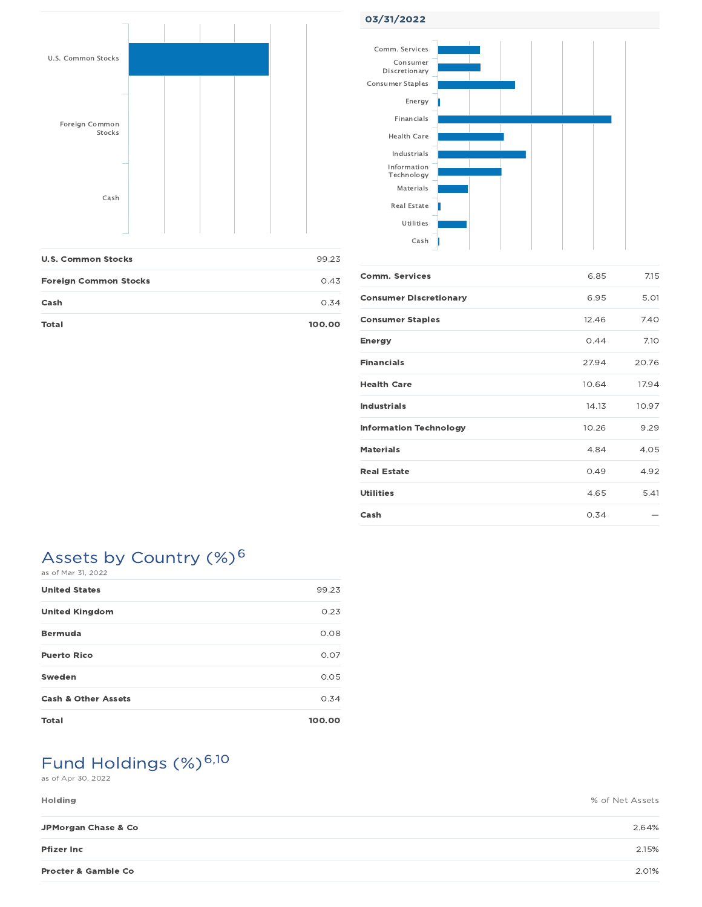

| <b>U.S. Common Stocks</b>    | 99.23  |
|------------------------------|--------|
| <b>Foreign Common Stocks</b> | 0.43   |
| Cash                         | 0.34   |
| Total                        | 100.00 |

#### 03/31/2022



| <b>Comm. Services</b>         | 6.85  | 7.15  |
|-------------------------------|-------|-------|
| <b>Consumer Discretionary</b> | 6.95  | 5.01  |
| <b>Consumer Staples</b>       | 12.46 | 7.40  |
| <b>Energy</b>                 | 0.44  | 7.10  |
| <b>Financials</b>             | 27.94 | 20.76 |
| <b>Health Care</b>            | 10.64 | 17.94 |
| <b>Industrials</b>            | 14.13 | 10.97 |
| <b>Information Technology</b> | 10.26 | 9.29  |
| <b>Materials</b>              | 4.84  | 4.05  |
| <b>Real Estate</b>            | 0.49  | 4.92  |
| Utilities                     | 4.65  | 5.41  |
| Cash                          | 0.34  |       |

#### Assets by Country (%)<sup>6</sup> as of Mar 31, 2022

| <b>United States</b>           | 99.23  |
|--------------------------------|--------|
| <b>United Kingdom</b>          | 0.23   |
| <b>Bermuda</b>                 | 0.08   |
| <b>Puerto Rico</b>             | 0.07   |
| Sweden                         | 0.05   |
| <b>Cash &amp; Other Assets</b> | 0.34   |
| <b>Total</b>                   | 100.00 |

# Fund Holdings (%)<sup>6,10</sup>

as of Apr 30, 2022

| <b>Holding</b> | % of Net Assets |
|----------------|-----------------|
|                |                 |

| JPMorgan Chase & Co            | 2.64% |
|--------------------------------|-------|
| <b>Pfizer Inc</b>              | 2.15% |
| <b>Procter &amp; Gamble Co</b> | 2.01% |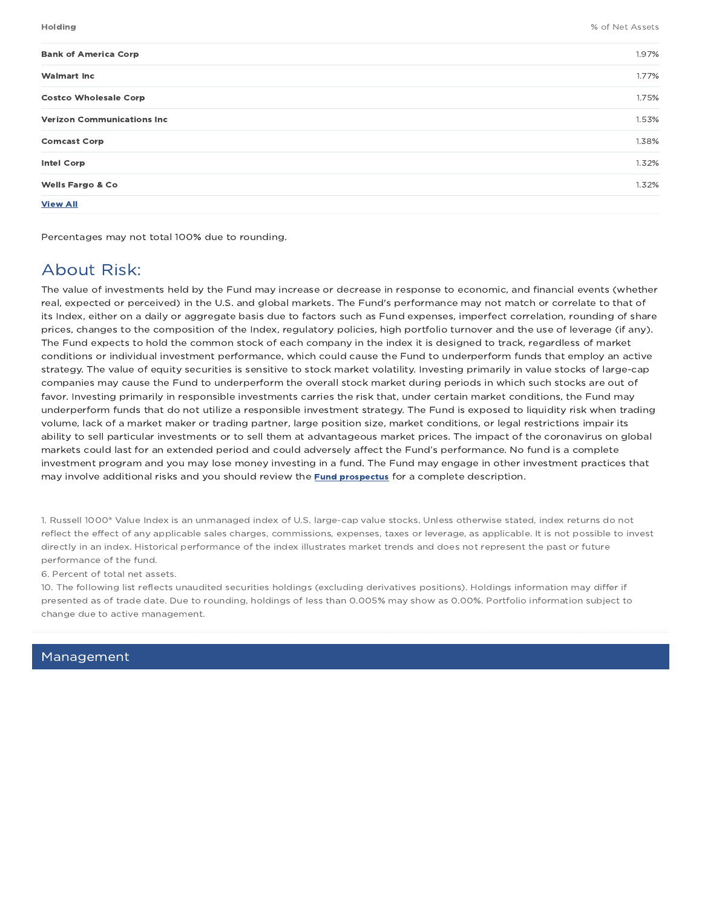| <b>Bank of America Corp</b>        | 1.97% |
|------------------------------------|-------|
| <b>Walmart Inc</b>                 | 1.77% |
| <b>Costco Wholesale Corp</b>       | 1.75% |
| <b>Verizon Communications Inc.</b> | 1.53% |
| <b>Comcast Corp</b>                | 1.38% |
| <b>Intel Corp</b>                  | 1.32% |
| <b>Wells Fargo &amp; Co</b>        | 1.32% |
| <b>View All</b>                    |       |

Percentages may not total 100% due to rounding.

### About Risk:

The value of investments held by the Fund may increase or decrease in response to economic, and financial events (whether real, expected or perceived) in the U.S. and global markets. The Fund's performance may not match or correlate to that of its Index, either on a daily or aggregate basis due to factors such as Fund expenses, imperfect correlation, rounding of share prices, changes to the composition of the Index, regulatory policies, high portfolio turnover and the use of leverage (if any). The Fund expects to hold the common stock of each company in the index it is designed to track, regardless of market conditions or individual investment performance, which could cause the Fund to underperform funds that employ an active strategy. The value of equity securities is sensitive to stock market volatility. Investing primarily in value stocks of large-cap companies may cause the Fund to underperform the overall stock market during periods in which such stocks are out of favor. Investing primarily in responsible investments carries the risk that, under certain market conditions, the Fund may underperform funds that do not utilize a responsible investment strategy. The Fund is exposed to liquidity risk when trading volume, lack of a market maker or trading partner, large position size, market conditions, or legal restrictions impair its ability to sell particular investments or to sell them at advantageous market prices. The impact of the coronavirus on global markets could last for an extended period and could adversely affect the Fund's performance. No fund is a complete investment program and you may lose money investing in a fund. The Fund may engage in other investment practices that may involve additional risks and you should review the **Fund prospectus** for a complete description.

1. Russell 1000® Value Index is an unmanaged index of U.S. large-cap value stocks. Unless otherwise stated, index returns do not reflect the effect of any applicable sales charges, commissions, expenses, taxes or leverage, as applicable. It is not possible to invest directly in an index. Historical performance of the index illustrates market trends and does not represent the past or future performance of the fund.

6. Percent of total net assets.

10. The following list reflects unaudited securities holdings (excluding derivatives positions). Holdings information may differ if presented as of trade date. Due to rounding, holdings of less than 0.005% may show as 0.00%. Portfolio information subject to change due to active management.

#### Management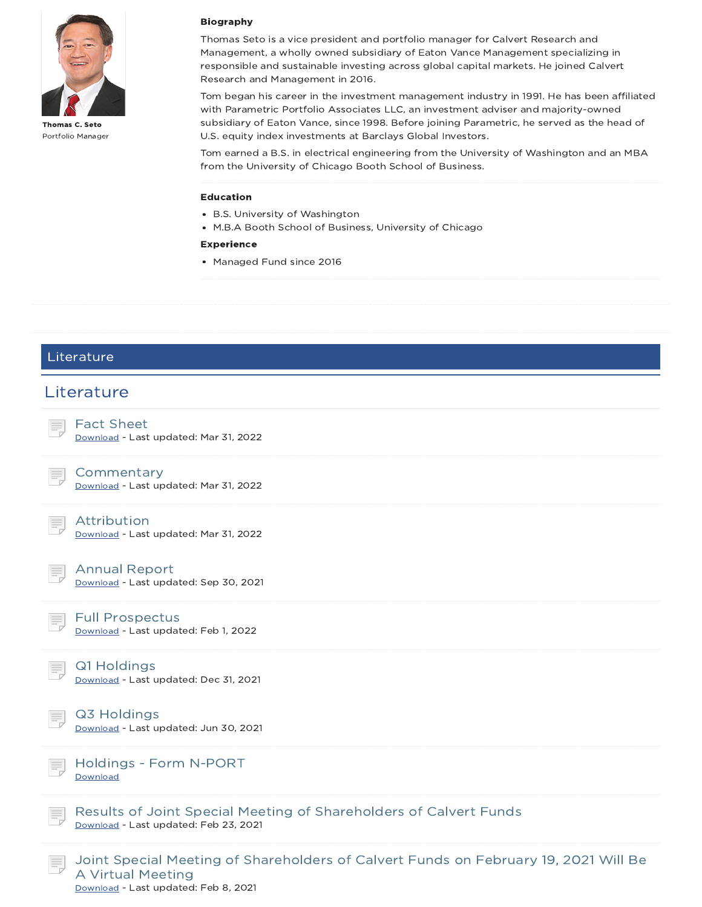

Portfolio Manager

#### Biography

Thomas Seto is a vice president and portfolio manager for Calvert Research and Management, a wholly owned subsidiary of Eaton Vance Management specializing in responsible and sustainable investing across global capital markets. He joined Calvert Research and Management in 2016.

Tom began his career in the investment management industry in 1991. He has been affiliated with Parametric Portfolio Associates LLC, an investment adviser and majority-owned subsidiary of Eaton Vance, since 1998. Before joining Parametric, he served as the head of U.S. equity index investments at Barclays Global Investors.

Tom earned a B.S. in electrical engineering from the University of Washington and an MBA from the University of Chicago Booth School of Business.

#### Education

- B.S. University of Washington
- M.B.A Booth School of Business, University of Chicago

#### Experience

• Managed Fund since 2016



Download - Last updated: Feb 8, 2021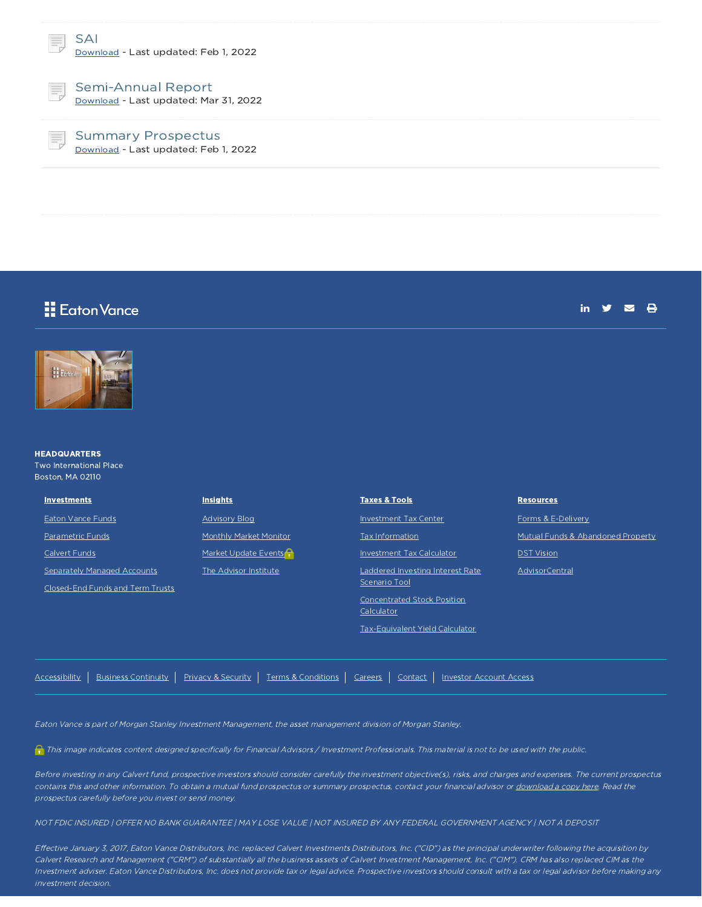

Semi-Annual Report Download - Last updated: Mar 31, 2022

Summary Prospectus Download - Last updated: Feb 1, 2022

### Eaton Vance

in  $\mathbf{y}$   $\mathbf{z}$   $\mathbf{e}$ 



#### **HEADQUARTERS** Two International Place Boston, MA 02110

| <b>Investments</b>               | <b>Insights</b>        | <b>Taxes &amp; Tools</b>           | <b>Resources</b>                  |
|----------------------------------|------------------------|------------------------------------|-----------------------------------|
| Eaton Vance Funds                | <b>Advisory Blog</b>   | Investment Tax Center              | Forms & E-Delivery                |
| <b>Parametric Funds</b>          | Monthly Market Monitor | Tax Information                    | Mutual Funds & Abandoned Property |
| Calvert Funds                    | Market Update Events   | Investment Tax Calculator          | <b>DST Vision</b>                 |
| Separately Managed Accounts      | The Advisor Institute  | Laddered Investing Interest Rate   | AdvisorCentral                    |
| Closed-End Funds and Term Trusts |                        | Scenario Tool                      |                                   |
|                                  |                        | <b>Concentrated Stock Position</b> |                                   |
|                                  |                        | Calculator                         |                                   |
|                                  |                        | Tax-Equivalent Yield Calculator    |                                   |

|  |  |  |  |  |  | Accessibility   Business Continuity   Privacy & Security   Terms & Conditions   Careers   Contact   Investor Account Access |
|--|--|--|--|--|--|-----------------------------------------------------------------------------------------------------------------------------|
|--|--|--|--|--|--|-----------------------------------------------------------------------------------------------------------------------------|

This image indicates content designed specifically for Financial Advisors / Investment Professionals. This material is not to be used with the public.

Before investing in any Calvert fund, prospective investors should consider carefully the investment objective(s), risks, and charges and expenses. The current prospectus contains this and other information. To obtain a mutual fund prospectus or summary prospectus, contact your financial advisor or download a copy here. Read the prospectus carefully before you invest or send money.

NOT FDIC INSURED | OFFER NO BANK GUARANTEE | MAY LOSE VALUE | NOT INSURED BY ANY FEDERAL GOVERNMENT AGENCY | NOT A DEPOSIT

Effective January 3, 2017, Eaton Vance Distributors, Inc. replaced Calvert Investments Distributors, Inc. ("CID") as the principal underwriter following the acquisition by Calvert Research and Management ("CRM") of substantially all the business assets of Calvert Investment Management, Inc. ("CIM"). CRM has also replaced CIM as the Investment adviser. Eaton Vance Distributors, Inc. does not provide tax or legal advice. Prospective investors should consult with <sup>a</sup> tax or legal advisor before making any investment decision.